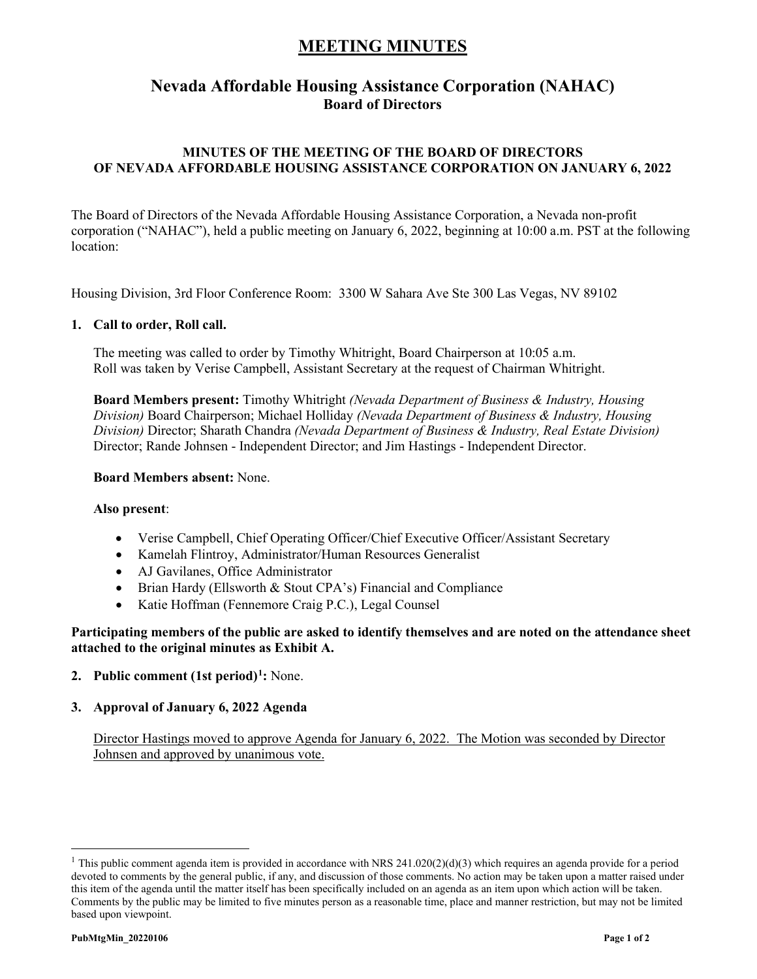## **MEETING MINUTES**

### **Nevada Affordable Housing Assistance Corporation (NAHAC) Board of Directors**

### **MINUTES OF THE MEETING OF THE BOARD OF DIRECTORS OF NEVADA AFFORDABLE HOUSING ASSISTANCE CORPORATION ON JANUARY 6, 2022**

The Board of Directors of the Nevada Affordable Housing Assistance Corporation, a Nevada non-profit corporation ("NAHAC"), held a public meeting on January 6, 2022, beginning at 10:00 a.m. PST at the following location:

Housing Division, 3rd Floor Conference Room: 3300 W Sahara Ave Ste 300 Las Vegas, NV 89102

#### **1. Call to order, Roll call.**

The meeting was called to order by Timothy Whitright, Board Chairperson at 10:05 a.m. Roll was taken by Verise Campbell, Assistant Secretary at the request of Chairman Whitright.

**Board Members present:** Timothy Whitright *(Nevada Department of Business & Industry, Housing Division)* Board Chairperson; Michael Holliday *(Nevada Department of Business & Industry, Housing Division)* Director; Sharath Chandra *(Nevada Department of Business & Industry, Real Estate Division)* Director; Rande Johnsen - Independent Director; and Jim Hastings - Independent Director.

#### **Board Members absent:** None.

#### **Also present**:

- Verise Campbell, Chief Operating Officer/Chief Executive Officer/Assistant Secretary
- Kamelah Flintroy, Administrator/Human Resources Generalist
- AJ Gavilanes, Office Administrator
- Brian Hardy (Ellsworth & Stout CPA's) Financial and Compliance
- Katie Hoffman (Fennemore Craig P.C.), Legal Counsel

**Participating members of the public are asked to identify themselves and are noted on the attendance sheet attached to the original minutes as Exhibit A.**

- **2. Public comment (1st period)[1](#page-0-0) :** None.
- **3. Approval of January 6, 2022 Agenda**

Director Hastings moved to approve Agenda for January 6, 2022. The Motion was seconded by Director Johnsen and approved by unanimous vote.

<span id="page-0-0"></span><sup>&</sup>lt;sup>1</sup> This public comment agenda item is provided in accordance with NRS 241.020(2)(d)(3) which requires an agenda provide for a period devoted to comments by the general public, if any, and discussion of those comments. No action may be taken upon a matter raised under this item of the agenda until the matter itself has been specifically included on an agenda as an item upon which action will be taken. Comments by the public may be limited to five minutes person as a reasonable time, place and manner restriction, but may not be limited based upon viewpoint.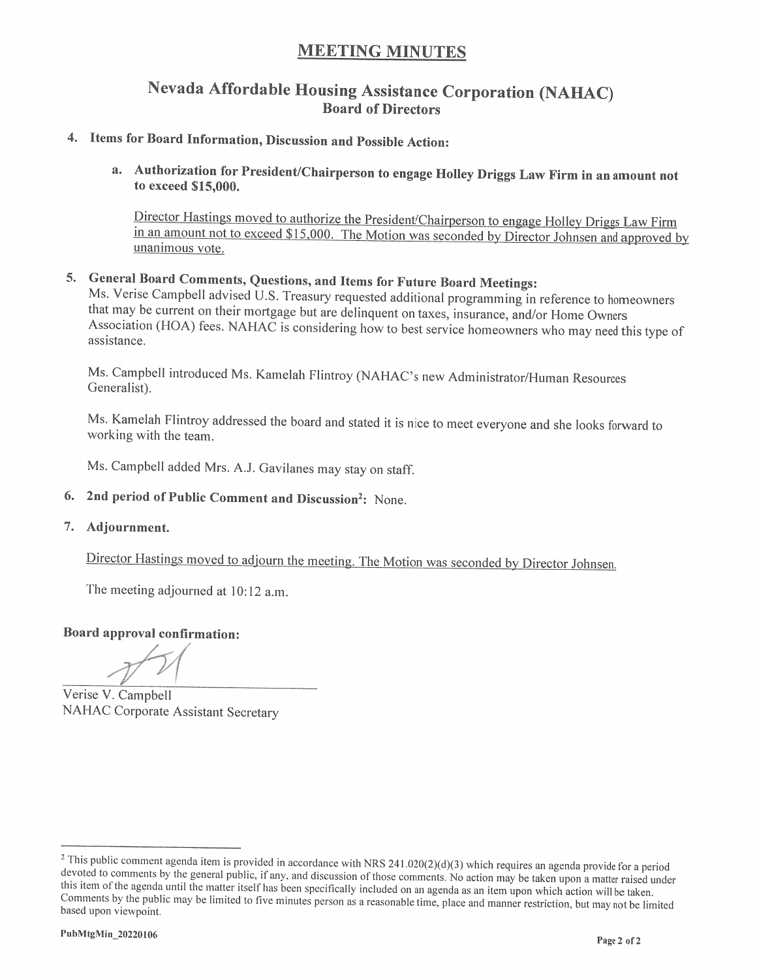### **MEETING MINUTES**

### Nevada Affordable Housing Assistance Corporation (NAHAC) **Board of Directors**

## 4. Items for Board Information, Discussion and Possible Action:

a. Authorization for President/Chairperson to engage Holley Driggs Law Firm in an amount not to exceed \$15,000.

Director Hastings moved to authorize the President/Chairperson to engage Holley Driggs Law Firm in an amount not to exceed \$15,000. The Motion was seconded by Director Johnsen and approved by unanimous vote.

# 5. General Board Comments, Questions, and Items for Future Board Meetings:

Ms. Verise Campbell advised U.S. Treasury requested additional programming in reference to homeowners that may be current on their mortgage but are delinquent on taxes, insurance, and/or Home Owners Association (HOA) fees. NAHAC is considering how to best service homeowners who may need this type of assistance.

Ms. Campbell introduced Ms. Kamelah Flintroy (NAHAC's new Administrator/Human Resources Generalist).

Ms. Kamelah Flintroy addressed the board and stated it is nice to meet everyone and she looks forward to working with the team.

Ms. Campbell added Mrs. A.J. Gavilanes may stay on staff.

- 6. 2nd period of Public Comment and Discussion<sup>2</sup>: None.
- 7. Adjournment.

Director Hastings moved to adjourn the meeting. The Motion was seconded by Director Johnsen.

The meeting adjourned at 10:12 a.m.

Board approval confirmation:

Verise V. Campbell **NAHAC Corporate Assistant Secretary** 

 $2$  This public comment agenda item is provided in accordance with NRS 241.020(2)(d)(3) which requires an agenda provide for a period devoted to comments by the general public, if any, and discussion of those comments. No action may be taken upon a matter raised under this item of the agenda until the matter itself has been specifically included on an agenda as an item upon which action will be taken. Comments by the public may be limited to five minutes person as a reasonable time, place and manner restriction, but may not be limited based upon viewpoint.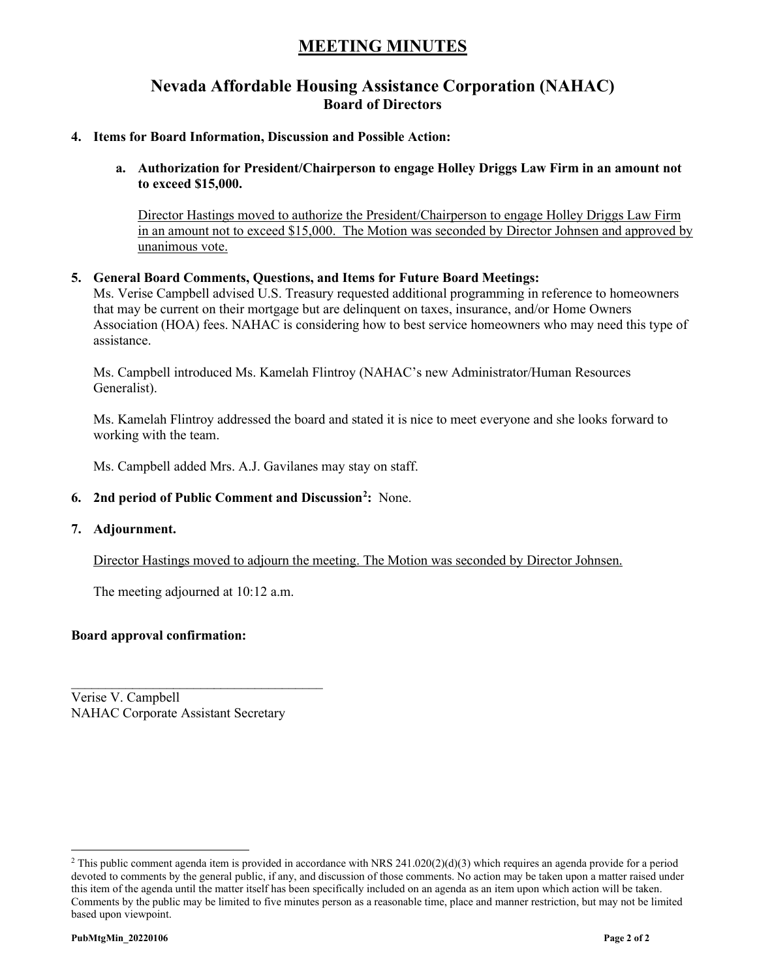## **MEETING MINUTES**

### **Nevada Affordable Housing Assistance Corporation (NAHAC) Board of Directors**

#### **4. Items for Board Information, Discussion and Possible Action:**

**a. Authorization for President/Chairperson to engage Holley Driggs Law Firm in an amount not to exceed \$15,000.**

Director Hastings moved to authorize the President/Chairperson to engage Holley Driggs Law Firm in an amount not to exceed \$15,000. The Motion was seconded by Director Johnsen and approved by unanimous vote.

#### **5. General Board Comments, Questions, and Items for Future Board Meetings:**

Ms. Verise Campbell advised U.S. Treasury requested additional programming in reference to homeowners that may be current on their mortgage but are delinquent on taxes, insurance, and/or Home Owners Association (HOA) fees. NAHAC is considering how to best service homeowners who may need this type of assistance.

Ms. Campbell introduced Ms. Kamelah Flintroy (NAHAC's new Administrator/Human Resources Generalist).

Ms. Kamelah Flintroy addressed the board and stated it is nice to meet everyone and she looks forward to working with the team.

Ms. Campbell added Mrs. A.J. Gavilanes may stay on staff.

- **6. 2nd period of Public Comment and Discussion[2](#page-2-0) :** None.
- **7. Adjournment.**

Director Hastings moved to adjourn the meeting. The Motion was seconded by Director Johnsen.

The meeting adjourned at 10:12 a.m.

\_\_\_\_\_\_\_\_\_\_\_\_\_\_\_\_\_\_\_\_\_\_\_\_\_\_\_\_\_\_\_\_\_\_\_\_\_

#### **Board approval confirmation:**

Verise V. Campbell NAHAC Corporate Assistant Secretary

<span id="page-2-0"></span><sup>&</sup>lt;sup>2</sup> This public comment agenda item is provided in accordance with NRS 241.020(2)(d)(3) which requires an agenda provide for a period devoted to comments by the general public, if any, and discussion of those comments. No action may be taken upon a matter raised under this item of the agenda until the matter itself has been specifically included on an agenda as an item upon which action will be taken. Comments by the public may be limited to five minutes person as a reasonable time, place and manner restriction, but may not be limited based upon viewpoint.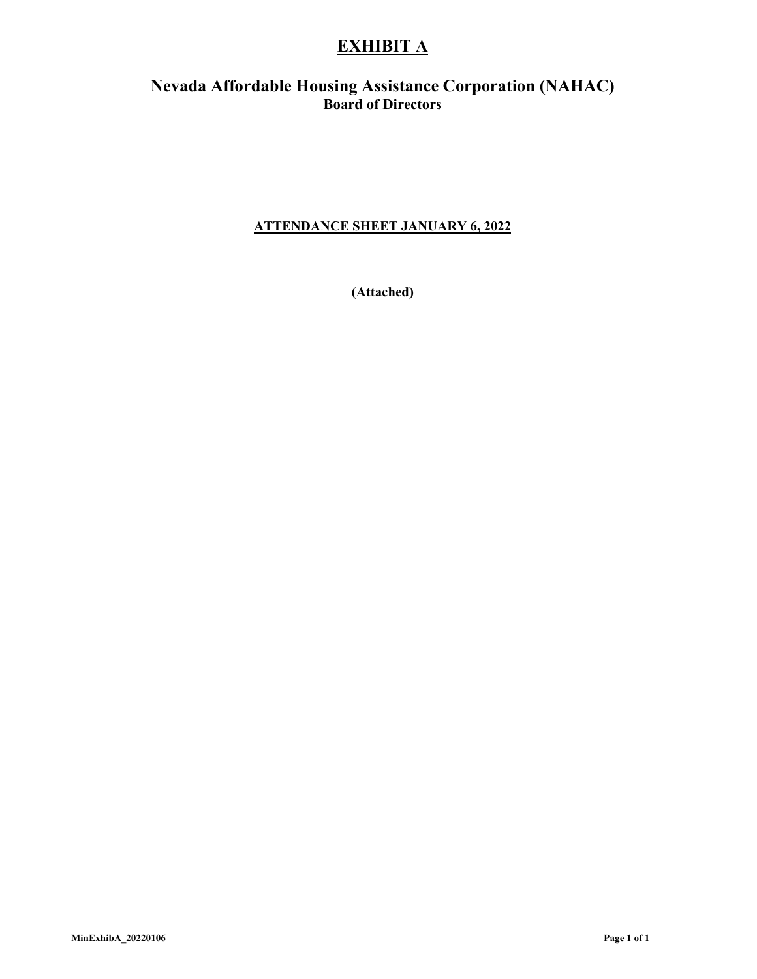## **EXHIBIT A**

### **Nevada Affordable Housing Assistance Corporation (NAHAC) Board of Directors**

### **ATTENDANCE SHEET JANUARY 6, 2022**

**(Attached)**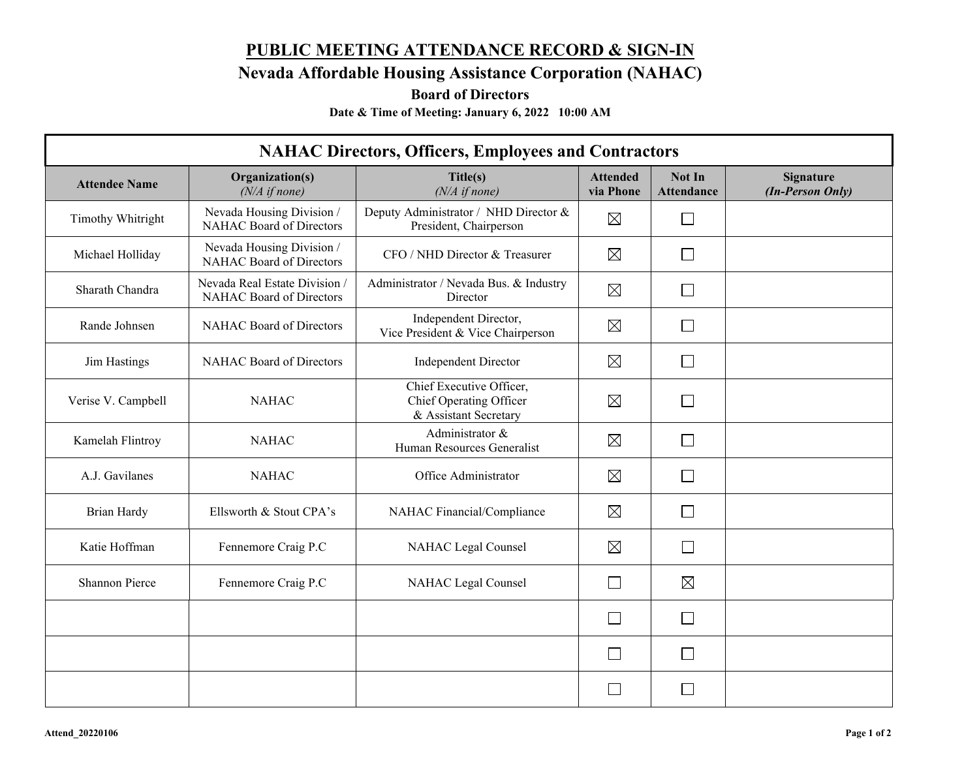# **PUBLIC MEETING ATTENDANCE RECORD & SIGN-IN**

**Nevada Affordable Housing Assistance Corporation (NAHAC)**

**Board of Directors**

**Date & Time of Meeting: January 6, 2022 10:00 AM**

| <b>NAHAC Directors, Officers, Employees and Contractors</b> |                                                           |                                                                              |                              |                             |                                      |  |  |
|-------------------------------------------------------------|-----------------------------------------------------------|------------------------------------------------------------------------------|------------------------------|-----------------------------|--------------------------------------|--|--|
| <b>Attendee Name</b>                                        | Organization(s)<br>$(N/A \text{ if none})$                | Title(s)<br>$(N/A \text{ if none})$                                          | <b>Attended</b><br>via Phone | Not In<br><b>Attendance</b> | <b>Signature</b><br>(In-Person Only) |  |  |
| Timothy Whitright                                           | Nevada Housing Division /<br>NAHAC Board of Directors     | Deputy Administrator / NHD Director &<br>President, Chairperson              | $\boxtimes$                  | $\mathbf{L}$                |                                      |  |  |
| Michael Holliday                                            | Nevada Housing Division /<br>NAHAC Board of Directors     | CFO / NHD Director & Treasurer                                               | $\boxtimes$                  |                             |                                      |  |  |
| Sharath Chandra                                             | Nevada Real Estate Division /<br>NAHAC Board of Directors | Administrator / Nevada Bus. & Industry<br>Director                           | $\boxtimes$                  | $\Box$                      |                                      |  |  |
| Rande Johnsen                                               | NAHAC Board of Directors                                  | Independent Director,<br>Vice President & Vice Chairperson                   | $\boxtimes$                  |                             |                                      |  |  |
| Jim Hastings                                                | NAHAC Board of Directors                                  | <b>Independent Director</b>                                                  | $\boxtimes$                  |                             |                                      |  |  |
| Verise V. Campbell                                          | <b>NAHAC</b>                                              | Chief Executive Officer,<br>Chief Operating Officer<br>& Assistant Secretary | $\boxtimes$                  |                             |                                      |  |  |
| Kamelah Flintroy                                            | <b>NAHAC</b>                                              | Administrator &<br>Human Resources Generalist                                | $\boxtimes$                  |                             |                                      |  |  |
| A.J. Gavilanes                                              | <b>NAHAC</b>                                              | Office Administrator                                                         | $\boxtimes$                  |                             |                                      |  |  |
| <b>Brian Hardy</b>                                          | Ellsworth & Stout CPA's                                   | NAHAC Financial/Compliance                                                   | $\boxtimes$                  |                             |                                      |  |  |
| Katie Hoffman                                               | Fennemore Craig P.C                                       | NAHAC Legal Counsel                                                          | $\boxtimes$                  | $\Box$                      |                                      |  |  |
| Shannon Pierce                                              | Fennemore Craig P.C                                       | NAHAC Legal Counsel                                                          | $\sim$                       | ⊠                           |                                      |  |  |
|                                                             |                                                           |                                                                              |                              |                             |                                      |  |  |
|                                                             |                                                           |                                                                              | $\mathsf{L}$                 | l I                         |                                      |  |  |
|                                                             |                                                           |                                                                              | L.                           |                             |                                      |  |  |